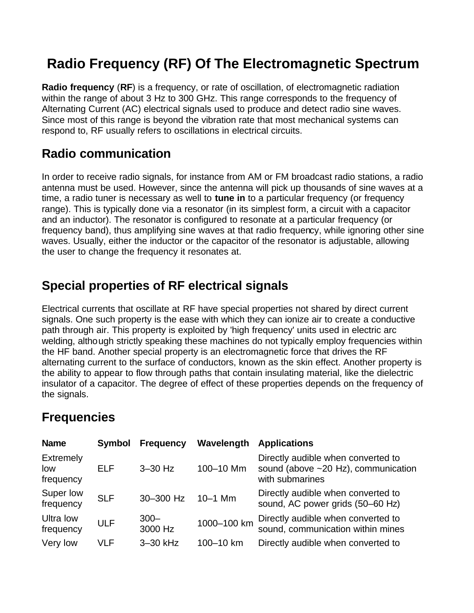## **Radio Frequency (RF) Of The Electromagnetic Spectrum**

**Radio frequency** (**RF**) is a frequency, or rate of oscillation, of electromagnetic radiation within the range of about 3 Hz to 300 GHz. This range corresponds to the frequency of Alternating Current (AC) electrical signals used to produce and detect radio sine waves. Since most of this range is beyond the vibration rate that most mechanical systems can respond to, RF usually refers to oscillations in electrical circuits.

## **Radio communication**

In order to receive radio signals, for instance from AM or FM broadcast radio stations, a radio antenna must be used. However, since the antenna will pick up thousands of sine waves at a time, a radio tuner is necessary as well to **tune in** to a particular frequency (or frequency range). This is typically done via a resonator (in its simplest form, a circuit with a capacitor and an inductor). The resonator is configured to resonate at a particular frequency (or frequency band), thus amplifying sine waves at that radio frequency, while ignoring other sine waves. Usually, either the inductor or the capacitor of the resonator is adjustable, allowing the user to change the frequency it resonates at.

## **Special properties of RF electrical signals**

Electrical currents that oscillate at RF have special properties not shared by direct current signals. One such property is the ease with which they can ionize air to create a conductive path through air. This property is exploited by 'high frequency' units used in electric arc welding, although strictly speaking these machines do not typically employ frequencies within the HF band. Another special property is an electromagnetic force that drives the RF alternating current to the surface of conductors, known as the skin effect. Another property is the ability to appear to flow through paths that contain insulating material, like the dielectric insulator of a capacitor. The degree of effect of these properties depends on the frequency of the signals.

## **Frequencies**

| <b>Name</b>                          | <b>Symbol</b> | <b>Frequency</b>   | Wavelength  | <b>Applications</b>                                                                                |
|--------------------------------------|---------------|--------------------|-------------|----------------------------------------------------------------------------------------------------|
| <b>Extremely</b><br>low<br>frequency | <b>ELF</b>    | $3-30$ Hz          | 100-10 Mm   | Directly audible when converted to<br>sound (above $\sim$ 20 Hz), communication<br>with submarines |
| Super low<br>frequency               | <b>SLF</b>    | 30-300 Hz          | $10 - 1$ Mm | Directly audible when converted to<br>sound, AC power grids (50-60 Hz)                             |
| Ultra low<br>frequency               | <b>ULF</b>    | $300 -$<br>3000 Hz | 1000-100 km | Directly audible when converted to<br>sound, communication within mines                            |
| Very low                             | VLF           | 3-30 kHz           | 100-10 km   | Directly audible when converted to                                                                 |